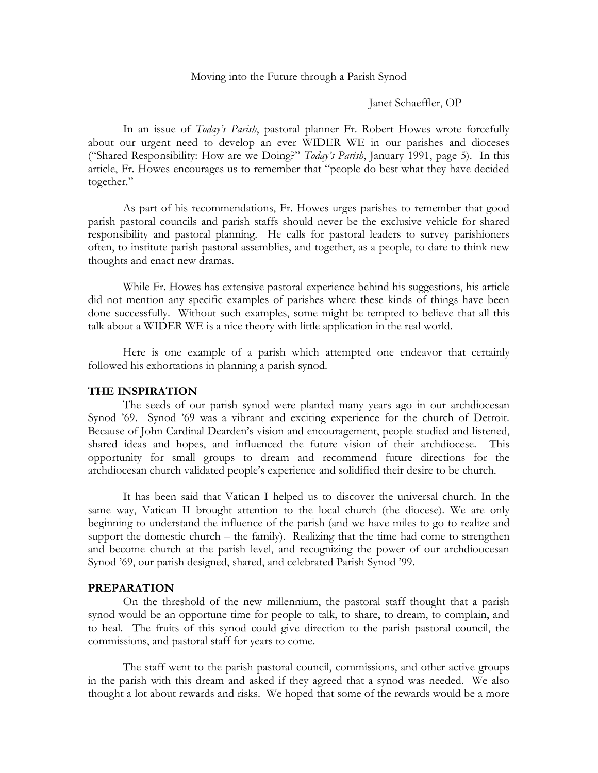### Moving into the Future through a Parish Synod

#### Janet Schaeffler, OP

In an issue of *Today's Parish*, pastoral planner Fr. Robert Howes wrote forcefully about our urgent need to develop an ever WIDER WE in our parishes and dioceses ("Shared Responsibility: How are we Doing?" *Today's Parish*, January 1991, page 5). In this article, Fr. Howes encourages us to remember that "people do best what they have decided together."

As part of his recommendations, Fr. Howes urges parishes to remember that good parish pastoral councils and parish staffs should never be the exclusive vehicle for shared responsibility and pastoral planning. He calls for pastoral leaders to survey parishioners often, to institute parish pastoral assemblies, and together, as a people, to dare to think new thoughts and enact new dramas.

While Fr. Howes has extensive pastoral experience behind his suggestions, his article did not mention any specific examples of parishes where these kinds of things have been done successfully. Without such examples, some might be tempted to believe that all this talk about a WIDER WE is a nice theory with little application in the real world.

Here is one example of a parish which attempted one endeavor that certainly followed his exhortations in planning a parish synod.

### **THE INSPIRATION**

The seeds of our parish synod were planted many years ago in our archdiocesan Synod '69. Synod '69 was a vibrant and exciting experience for the church of Detroit. Because of John Cardinal Dearden's vision and encouragement, people studied and listened, shared ideas and hopes, and influenced the future vision of their archdiocese. This opportunity for small groups to dream and recommend future directions for the archdiocesan church validated people's experience and solidified their desire to be church.

It has been said that Vatican I helped us to discover the universal church. In the same way, Vatican II brought attention to the local church (the diocese). We are only beginning to understand the influence of the parish (and we have miles to go to realize and support the domestic church – the family). Realizing that the time had come to strengthen and become church at the parish level, and recognizing the power of our archdioocesan Synod '69, our parish designed, shared, and celebrated Parish Synod '99.

### **PREPARATION**

On the threshold of the new millennium, the pastoral staff thought that a parish synod would be an opportune time for people to talk, to share, to dream, to complain, and to heal. The fruits of this synod could give direction to the parish pastoral council, the commissions, and pastoral staff for years to come.

The staff went to the parish pastoral council, commissions, and other active groups in the parish with this dream and asked if they agreed that a synod was needed. We also thought a lot about rewards and risks. We hoped that some of the rewards would be a more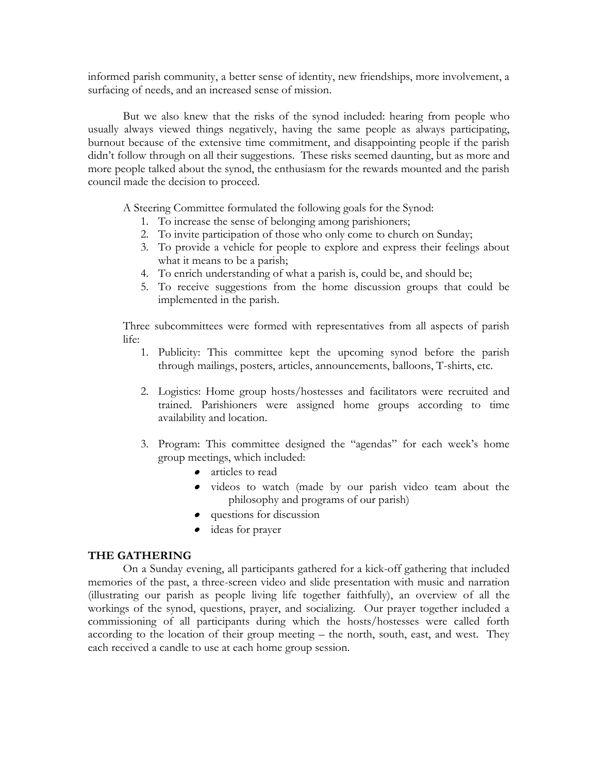informed parish community, a better sense of identity, new friendships, more involvement, a surfacing of needs, and an increased sense of mission.

But we also knew that the risks of the synod included: hearing from people who usually always viewed things negatively, having the same people as always participating, burnout because of the extensive time commitment, and disappointing people if the parish didn't follow through on all their suggestions. These risks seemed daunting, but as more and more people talked about the synod, the enthusiasm for the rewards mounted and the parish council made the decision to proceed.

A Steering Committee formulated the following goals for the Synod:

- 1. To increase the sense of belonging among parishioners;
- 2. To invite participation of those who only come to church on Sunday;
- 3. To provide a vehicle for people to explore and express their feelings about what it means to be a parish;
- 4. To enrich understanding of what a parish is, could be, and should be;
- 5. To receive suggestions from the home discussion groups that could be implemented in the parish.

Three subcommittees were formed with representatives from all aspects of parish life:

- 1. Publicity: This committee kept the upcoming synod before the parish through mailings, posters, articles, announcements, balloons, T-shirts, etc.
- 2. Logistics: Home group hosts/hostesses and facilitators were recruited and trained. Parishioners were assigned home groups according to time availability and location.
- 3. Program: This committee designed the "agendas" for each week's home group meetings, which included:
	- articles to read
	- videos to watch (made by our parish video team about the philosophy and programs of our parish)
	- questions for discussion
	- ideas for prayer

# **THE GATHERING**

On a Sunday evening, all participants gathered for a kick-off gathering that included memories of the past, a three-screen video and slide presentation with music and narration (illustrating our parish as people living life together faithfully), an overview of all the workings of the synod, questions, prayer, and socializing. Our prayer together included a commissioning of all participants during which the hosts/hostesses were called forth according to the location of their group meeting – the north, south, east, and west. They each received a candle to use at each home group session.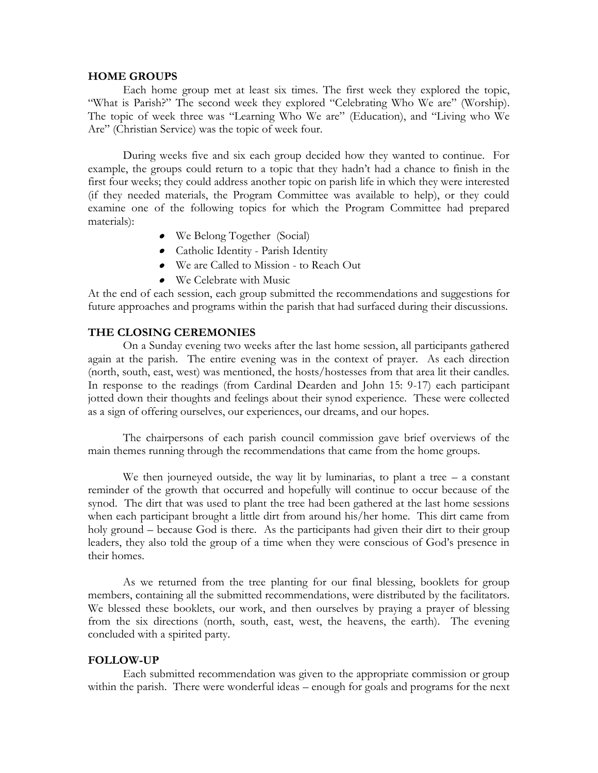#### **HOME GROUPS**

Each home group met at least six times. The first week they explored the topic, "What is Parish?" The second week they explored "Celebrating Who We are" (Worship). The topic of week three was "Learning Who We are" (Education), and "Living who We Are" (Christian Service) was the topic of week four.

During weeks five and six each group decided how they wanted to continue. For example, the groups could return to a topic that they hadn't had a chance to finish in the first four weeks; they could address another topic on parish life in which they were interested (if they needed materials, the Program Committee was available to help), or they could examine one of the following topics for which the Program Committee had prepared materials):

- We Belong Together (Social)
- Catholic Identity Parish Identity
- We are Called to Mission to Reach Out
- We Celebrate with Music

At the end of each session, each group submitted the recommendations and suggestions for future approaches and programs within the parish that had surfaced during their discussions.

## **THE CLOSING CEREMONIES**

On a Sunday evening two weeks after the last home session, all participants gathered again at the parish. The entire evening was in the context of prayer. As each direction (north, south, east, west) was mentioned, the hosts/hostesses from that area lit their candles. In response to the readings (from Cardinal Dearden and John 15: 9-17) each participant jotted down their thoughts and feelings about their synod experience. These were collected as a sign of offering ourselves, our experiences, our dreams, and our hopes.

The chairpersons of each parish council commission gave brief overviews of the main themes running through the recommendations that came from the home groups.

We then journeyed outside, the way lit by luminarias, to plant a tree  $-$  a constant reminder of the growth that occurred and hopefully will continue to occur because of the synod. The dirt that was used to plant the tree had been gathered at the last home sessions when each participant brought a little dirt from around his/her home. This dirt came from holy ground – because God is there. As the participants had given their dirt to their group leaders, they also told the group of a time when they were conscious of God's presence in their homes.

As we returned from the tree planting for our final blessing, booklets for group members, containing all the submitted recommendations, were distributed by the facilitators. We blessed these booklets, our work, and then ourselves by praying a prayer of blessing from the six directions (north, south, east, west, the heavens, the earth). The evening concluded with a spirited party.

### **FOLLOW-UP**

Each submitted recommendation was given to the appropriate commission or group within the parish. There were wonderful ideas – enough for goals and programs for the next